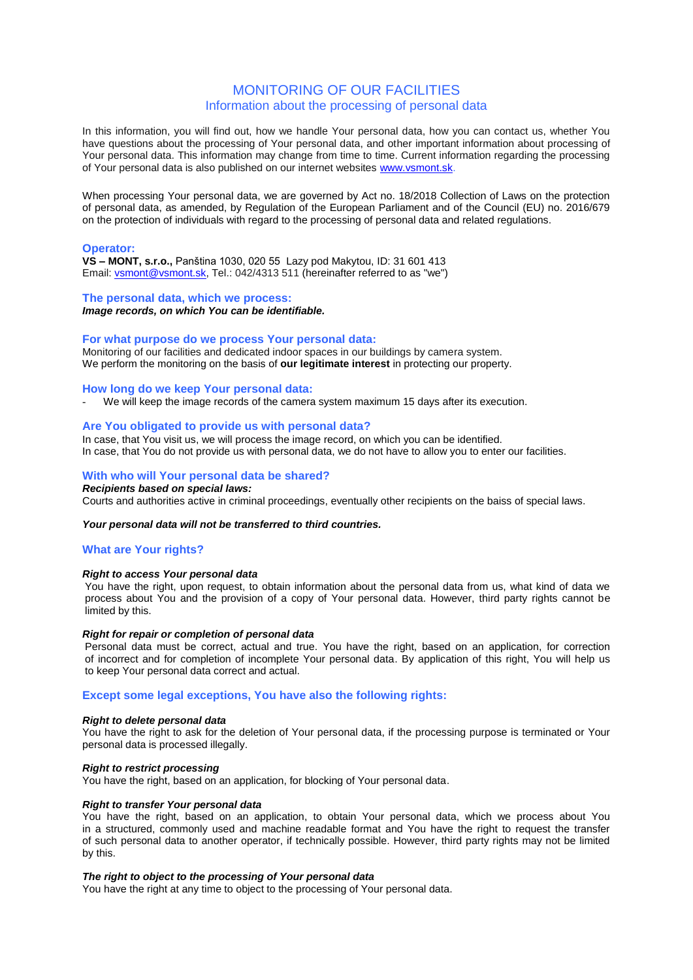# MONITORING OF OUR FACILITIES Information about the processing of personal data

In this information, you will find out, how we handle Your personal data, how you can contact us, whether You have questions about the processing of Your personal data, and other important information about processing of Your personal data. This information may change from time to time. Current information regarding the processing of Your personal data is also published on our internet websites [www.vsmont.sk.](http://www.vsmont.sk/)

When processing Your personal data, we are governed by Act no. 18/2018 Collection of Laws on the protection of personal data, as amended, by Regulation of the European Parliament and of the Council (EU) no. 2016/679 on the protection of individuals with regard to the processing of personal data and related regulations.

# **Operator:**

**VS – MONT, s.r.o.,** Panština 1030, 020 55 Lazy pod Makytou, ID: 31 601 413 Email: [vsmont@vsmont.sk,](mailto:vsmont@vsmont.sk) Tel.: 042/4313 511 (hereinafter referred to as "we")

## **The personal data, which we process:**

*Image records, on which You can be identifiable.*

### **For what purpose do we process Your personal data:**

Monitoring of our facilities and dedicated indoor spaces in our buildings by camera system. We perform the monitoring on the basis of **our legitimate interest** in protecting our property.

### **How long do we keep Your personal data:**

We will keep the image records of the camera system maximum 15 days after its execution.

# **Are You obligated to provide us with personal data?**

In case, that You visit us, we will process the image record, on which you can be identified. In case, that You do not provide us with personal data, we do not have to allow you to enter our facilities.

# **With who will Your personal data be shared?**

*Recipients based on special laws:*

Courts and authorities active in criminal proceedings, eventually other recipients on the baiss of special laws.

#### *Your personal data will not be transferred to third countries.*

## **What are Your rights?**

# *Right to access Your personal data*

You have the right, upon request, to obtain information about the personal data from us, what kind of data we process about You and the provision of a copy of Your personal data. However, third party rights cannot be limited by this.

# *Right for repair or completion of personal data*

Personal data must be correct, actual and true. You have the right, based on an application, for correction of incorrect and for completion of incomplete Your personal data. By application of this right, You will help us to keep Your personal data correct and actual.

# **Except some legal exceptions, You have also the following rights:**

#### *Right to delete personal data*

You have the right to ask for the deletion of Your personal data, if the processing purpose is terminated or Your personal data is processed illegally.

### *Right to restrict processing*

You have the right, based on an application, for blocking of Your personal data.

#### *Right to transfer Your personal data*

You have the right, based on an application, to obtain Your personal data, which we process about You in a structured, commonly used and machine readable format and You have the right to request the transfer of such personal data to another operator, if technically possible. However, third party rights may not be limited by this.

## *The right to object to the processing of Your personal data*

You have the right at any time to object to the processing of Your personal data.